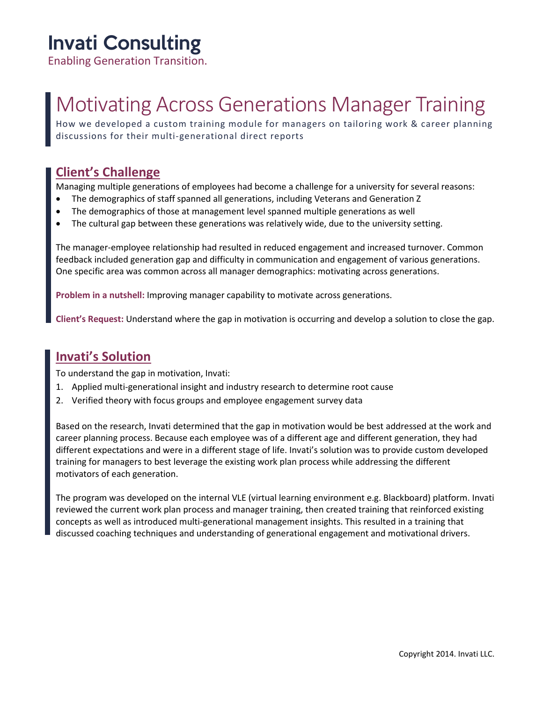### Invati Consulting

Enabling Generation Transition.

# Motivating Across Generations Manager Training

How we developed a custom training module for managers on tailoring work & career planning discussions for their multi-generational direct reports

#### **Client's Challenge**

Managing multiple generations of employees had become a challenge for a university for several reasons:

- The demographics of staff spanned all generations, including Veterans and Generation Z
- The demographics of those at management level spanned multiple generations as well
- The cultural gap between these generations was relatively wide, due to the university setting.

The manager-employee relationship had resulted in reduced engagement and increased turnover. Common feedback included generation gap and difficulty in communication and engagement of various generations. One specific area was common across all manager demographics: motivating across generations.

**Problem in a nutshell:** Improving manager capability to motivate across generations.

**Client's Request:** Understand where the gap in motivation is occurring and develop a solution to close the gap.

### **Invati's Solution**

To understand the gap in motivation, Invati:

- 1. Applied multi-generational insight and industry research to determine root cause
- 2. Verified theory with focus groups and employee engagement survey data

Based on the research, Invati determined that the gap in motivation would be best addressed at the work and career planning process. Because each employee was of a different age and different generation, they had different expectations and were in a different stage of life. Invati's solution was to provide custom developed training for managers to best leverage the existing work plan process while addressing the different motivators of each generation.

The program was developed on the internal VLE (virtual learning environment e.g. Blackboard) platform. Invati reviewed the current work plan process and manager training, then created training that reinforced existing concepts as well as introduced multi-generational management insights. This resulted in a training that discussed coaching techniques and understanding of generational engagement and motivational drivers.